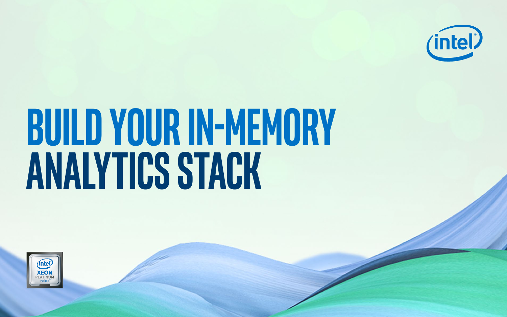# **Build your in-memory analytics stack**



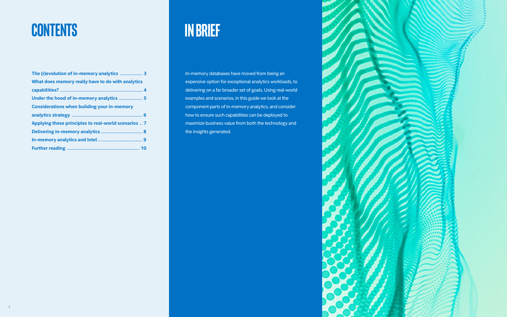

# **CONTENTS in brief**

In-memory databases have moved from being an expensive option for exceptional analytics workloads, to delivering on a far broader set of goals. Using real-world examples and scenarios, in this guide we look at the component parts of in-memory analytics, and consider how to ensure such capabilities can be deployed to maximize business value from both the technology and the insights generated.

| What does memory really have to do with analytics    |
|------------------------------------------------------|
|                                                      |
|                                                      |
| <b>Considerations when building your in-memory</b>   |
|                                                      |
| Applying these principles to real-world scenarios  7 |
|                                                      |
|                                                      |
|                                                      |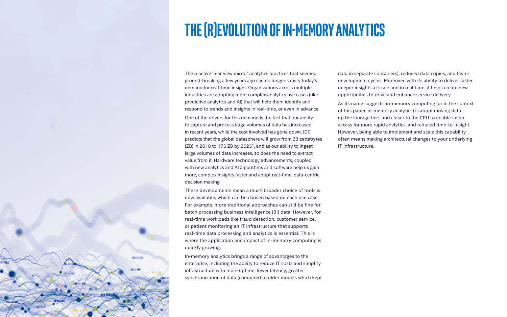**3**

# <span id="page-2-0"></span>**The (r)evolution of in-memory analytics**

The reactive 'rear view mirror' analytics practices that seemed ground-breaking a few years ago can no longer satisfy today's demand for real-time insight. Organizations across multiple industries are adopting more complex analytics use cases (like predictive analytics and AI) that will help them identify and respond to trends and insights in real-time, or even in advance.

One of the drivers for this demand is the fact that our ability to capture and process large volumes of data has increased in recent years, while the cost involved has gone down. IDC predicts that the global datasphere will grow from 33 zettabytes (ZB) in 2018 to 175 ZB by 2025<sup>1</sup>, and as our ability to ingest large volumes of data increases, so does the need to extract value from it. Hardware technology advancements, coupled with new analytics and AI algorithms and software help us gain more, complex insights faster and adopt real-time, data-centric decision making.

These developments mean a much broader choice of tools is now available, which can be chosen based on each use case. For example, more traditional approaches can still be fine for batch processing business intelligence (BI) data. However, for real-time workloads like fraud detection, customer service, or patient monitoring an IT infrastructure that supports real-time data processing and analytics is essential. This is where the application and impact of in-memory computing is quickly growing.

In-memory analytics brings a range of advantages to the enterprise, including the ability to reduce IT costs and simplify infrastructure with more uptime; lower latency; greater synchronization of data (compared to older models which kept data in separate containers); reduced data copies, and faster development cycles. Moreover, with its ability to deliver faster, deeper insights at scale and in real time, it helps create new opportunities to drive and enhance service delivery.

As its name suggests, in-memory computing (or in the context of this paper, in-memory analytics) is about moving data up the storage tiers and closer to the CPU to enable faster access for more rapid analytics, and reduced time-to-insight. However, being able to implement and scale this capability often means making architectural changes to your underlying IT infrastructure.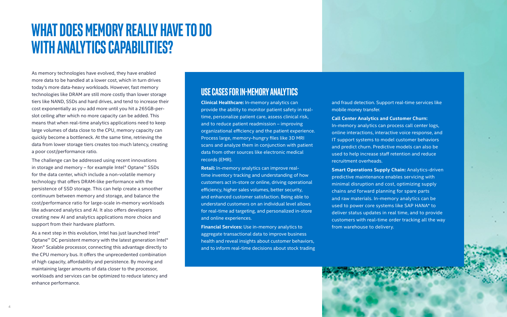# <span id="page-3-0"></span>**What does memory really have to do with analytics capabilities?**

As memory technologies have evolved, they have enabled more data to be handled at a lower cost, which in turn drives today's more data-heavy workloads. However, fast memory technologies like DRAM are still more costly than lower storage tiers like NAND, SSDs and hard drives, and tend to increase their cost exponentially as you add more until you hit a 265GB-perslot ceiling after which no more capacity can be added. This means that when real-time analytics applications need to keep large volumes of data close to the CPU, memory capacity can quickly become a bottleneck. At the same time, retrieving the data from lower storage tiers creates too much latency, creating a poor cost/performance ratio.

As a next step in this evolution, Intel has just launched Intel® Optane<sup>™</sup> DC persistent memory with the latest generation Intel<sup>®</sup> Xeon® Scalable processor, connecting this advantage directly to the CPU memory bus. It offers the unprecedented combination of high capacity, affordability and persistence. By moving and maintaining larger amounts of data closer to the processor, workloads and services can be optimized to reduce latency and enhance performance.

The challenge can be addressed using recent innovations in storage and memory – for example Intel® Optane™ SSDs for the data center, which include a non-volatile memory technology that offers DRAM-like performance with the persistence of SSD storage. This can help create a smoother continuum between memory and storage, and balance the cost/performance ratio for large-scale in-memory workloads like advanced analytics and AI. It also offers developers creating new AI and analytics applications more choice and support from their hardware platform.

### **Use Cases for In-Memory Analytics**

**Clinical Healthcare:** In-memory analytics can provide the ability to monitor patient safety in realtime, personalize patient care, assess clinical risk, and to reduce patient readmission – improving organizational efficiency and the patient experience. Process large, memory-hungry files like 3D MRI scans and analyze them in conjunction with patient data from other sources like electronic medical records (EMR).

**Retail:** In-memory analytics can improve realtime inventory tracking and understanding of how customers act in-store or online, driving operational efficiency, higher sales volumes, better security, and enhanced customer satisfaction. Being able to understand customers on an individual level allows for real-time ad targeting, and personalized in-store and online experiences.

**Financial Services:** Use in-memory analytics to aggregate transactional data to improve business health and reveal insights about customer behaviors, and to inform real-time decisions about stock trading and fraud detection. Support real-time services like mobile money transfer.

**Call Center Analytics and Customer Churn:**  In-memory analytics can process call center logs, online interactions, interactive voice response, and IT support systems to model customer behaviors and predict churn. Predictive models can also be used to help increase staff retention and reduce recruitment overheads.

**Smart Operations Supply Chain:** Analytics-driven predictive maintenance enables servicing with minimal disruption and cost, optimizing supply chains and forward planning for spare parts and raw materials. In-memory analytics can be used to power core systems like SAP HANA\* to deliver status updates in real time, and to provide customers with real-time order tracking all the way from warehouse to delivery.

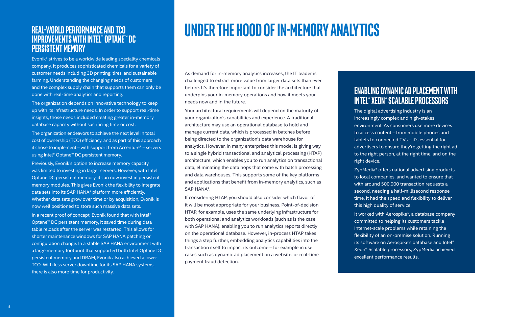# **Under the hood of in-memory analytics**

As demand for in-memory analytics increases, the IT leader is challenged to extract more value from larger data sets than ever before. It's therefore important to consider the architecture that underpins your in-memory operations and how it meets your needs now and in the future.

Your architectural requirements will depend on the maturity of your organization's capabilities and experience. A traditional architecture may use an operational database to hold and manage current data, which is processed in batches before being directed to the organization's data warehouse for analytics. However, in many enterprises this model is giving way to a single hybrid transactional and analytical processing (HTAP) architecture, which enables you to run analytics on transactional data, eliminating the data hops that come with batch processing and data warehouses. This supports some of the key platforms and applications that benefit from in-memory analytics, such as SAP HANA\*.

If considering HTAP, you should also consider which flavor of it will be most appropriate for your business. Point-of-decision HTAP, for example, uses the same underlying infrastructure for both operational and analytics workloads (such as is the case with SAP HANA), enabling you to run analytics reports directly on the operational database. However, in-process HTAP takes things a step further, embedding analytics capabilities into the transaction itself to impact its outcome – for example in use cases such as dynamic ad placement on a website, or real-time payment fraud detection.

## **Enabling dynamic ad placement with Intel® Xeon® Scalable processors**

The digital advertising industry is an increasingly complex and high-stakes environment. As consumers use more devices to access content – from mobile phones and tablets to connected TVs – it's essential for advertisers to ensure they're getting the right ad to the right person, at the right time, and on the right device.

ZypMedia\* offers national advertising products to local companies, and wanted to ensure that with around 500,000 transaction requests a second, needing a half-millisecond response time, it had the speed and flexibility to deliver this high quality of service.

It worked with Aerospike\*, a database company committed to helping its customers tackle Internet-scale problems while retaining the flexibility of an on-premise solution. Running its software on Aerospike's database and Intel® Xeon® Scalable processors, ZypMedia achieved excellent performance results.

### <span id="page-4-0"></span>**Real-world performance and TCO improvements with Intel® Optane™ DC Persistent Memory**

Evonik\* strives to be a worldwide leading speciality chemicals company. It produces sophisticated chemicals for a variety of customer needs including 3D printing, tires, and sustainable farming. Understanding the changing needs of customers and the complex supply chain that supports them can only be done with real-time analytics and reporting.

The organization depends on innovative technology to keep up with its infrastructure needs. In order to support real-time insights, those needs included creating greater in-memory database capacity without sacrificing time or cost.

The organization endeavors to achieve the next level in total cost of ownership (TCO) efficiency, and as part of this approach it chose to implement – with support from Accenture® – servers using Intel® Optane™ DC persistent memory.

Previously, Evonik's option to increase memory capacity was limited to investing in larger servers. However, with Intel Optane DC persistent memory, it can now invest in persistent memory modules. This gives Evonik the flexibility to integrate data sets into its SAP HANA\* platform more efficiently. Whether data sets grow over time or by acquisition, Evonik is now well positioned to store such massive data sets.

In a recent proof of concept, Evonik found that with Intel® Optane™ DC persistent memory, it saved time during data table reloads after the server was restarted. This allows for shorter maintenance windows for SAP HANA patching or configuration change. In a stable SAP HANA environment with a large memory footprint that supported both Intel Optane DC persistent memory and DRAM, Evonik also achieved a lower TCO. With less server downtime for its SAP HANA systems, there is also more time for productivity.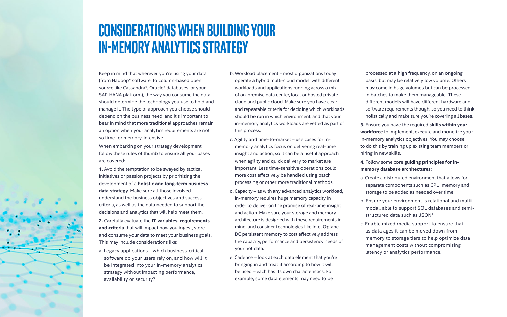# <span id="page-5-0"></span>**Considerations when building your in-memory analytics strategy**

Keep in mind that wherever you're using your data (from Hadoop\* software, to column-based open source like Cassandra\*, Oracle\* databases, or your SAP HANA platform), the way you consume the data should determine the technology you use to hold and manage it. The type of approach you choose should depend on the business need, and it's important to bear in mind that more traditional approaches remain an option when your analytics requirements are not so time- or memory-intensive.

When embarking on your strategy development, follow these rules of thumb to ensure all your bases are covered:

**1.** Avoid the temptation to be swayed by tactical initiatives or passion projects by prioritizing the development of a **holistic and long-term business data strategy**. Make sure all those involved understand the business objectives and success criteria, as well as the data needed to support the decisions and analytics that will help meet them.

**2.** Carefully evaluate the **IT variables, requirements and criteria** that will impact how you ingest, store and consume your data to meet your business goals. This may include considerations like:

a. Legacy applications – which business-critical software do your users rely on, and how will it be integrated into your in-memory analytics strategy without impacting performance, availability or security?

- b. Workload placement most organizations today operate a hybrid multi-cloud model, with different workloads and applications running across a mix of on-premise data center, local or hosted private cloud and public cloud. Make sure you have clear and repeatable criteria for deciding which workloads should be run in which environment, and that your in-memory analytics workloads are vetted as part of this process.
- c. Agility and time-to-market use cases for inmemory analytics focus on delivering real-time insight and action, so it can be a useful approach when agility and quick delivery to market are important. Less time-sensitive operations could more cost effectively be handled using batch processing or other more traditional methods.
- d. Capacity as with any advanced analytics workload, in-memory requires huge memory capacity in order to deliver on the promise of real-time insight and action. Make sure your storage and memory architecture is designed with these requirements in mind, and consider technologies like Intel Optane DC persistent memory to cost effectively address the capacity, performance and persistency needs of your hot data.
- e. Cadence look at each data element that you're bringing in and treat it according to how it will be used – each has its own characteristics. For example, some data elements may need to be

processed at a high frequency, on an ongoing basis, but may be relatively low volume. Others may come in huge volumes but can be processed in batches to make them manageable. These different models will have different hardware and software requirements though, so you need to think holistically and make sure you're covering all bases.

**3.** Ensure you have the required **skills within your workforce** to implement, execute and monetize your in-memory analytics objectives. You may choose to do this by training up existing team members or hiring in new skills.

### **4.** Follow some core **guiding principles for inmemory database architectures:**

- a. Create a distributed environment that allows for separate components such as CPU, memory and storage to be added as needed over time.
- b. Ensure your environment is relational and multimodal, able to support SQL databases and semistructured data such as JSON\*.
- c. Enable mixed media support to ensure that as data ages it can be moved down from memory to storage tiers to help optimize data management costs without compromising latency or analytics performance.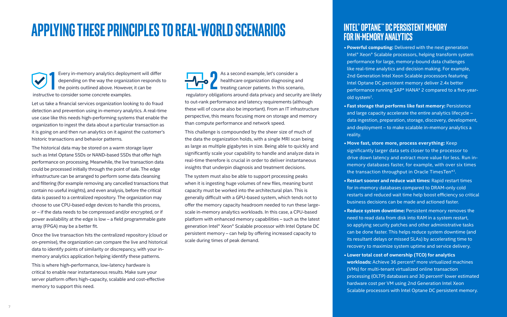Every in-memory analytics deployment will differ depending on the way the organization responds to the points outlined above. However, it can be instructive to consider some concrete examples. Every in-memory analytics deployment will differ<br>depending on the way the organization responds to<br>the points outlined above. However, it can be

# <span id="page-6-0"></span>**Applying these principles to real-world scenarios**

Let us take a financial services organization looking to do fraud detection and prevention using in-memory analytics. A real-time use case like this needs high-performing systems that enable the organization to ingest the data about a particular transaction as it is going on and then run analytics on it against the customer's historic transactions and behavior patterns.

The historical data may be stored on a warm storage layer such as Intel Optane SSDs or NAND-based SSDs that offer high performance on processing. Meanwhile, the live transaction data could be processed initially through the point of sale. The edge infrastructure can be arranged to perform some data cleansing and filtering (for example removing any cancelled transactions that contain no useful insights), and even analysis, before the critical data is passed to a centralized repository. The organization may choose to use CPU-based edge devices to handle this process, or – if the data needs to be compressed and/or encrypted, or if power availability at the edge is low – a field programmable gate array (FPGA) may be a better fit.

Once the live transaction hits the centralized repository (cloud or on-premise), the organization can compare the live and historical data to identify points of similarity or discrepancy, with your inmemory analytics application helping identify these patterns. This is where high-performance, low-latency hardware is critical to enable near instantaneous results. Make sure your server platform offers high-capacity, scalable and cost-effective memory to support this need.

**• Powerful computing:** Delivered with the next generation Intel® Xeon® Scalable processors, helping transform system performance for large, memory-bound data challenges like real-time analytics and decision making. For example, 2nd Generation Intel Xeon Scalable processors featuring Intel Optane DC persistent memory deliver 2.4x better performance running SAP\* HANA\* 2 compared to a five-yearold system<sup>2</sup>.

As a second example, let's consider a healthcare organization diagnosing and treating cancer patients. In this scenario, regulatory obligations around data privacy and security are likely to out-rank performance and latency requirements (although these will of course also be important). From an IT infrastructure perspective, this means focusing more on storage and memory than compute performance and network speed.

This challenge is compounded by the sheer size of much of the data the organization holds, with a single MRI scan being as large as multiple gigabytes in size. Being able to quickly and significantly scale your capability to handle and analyze data in real-time therefore is crucial in order to deliver instantaneous insights that underpin diagnosis and treatment decisions.

The system must also be able to support processing peaks when it is ingesting huge volumes of new files, meaning burst capacity must be worked into the architectural plan. This is generally difficult with a GPU-based system, which tends not to offer the memory capacity headroom needed to run these largescale in-memory analytics workloads. In this case, a CPU-based platform with enhanced memory capabilities – such as the latest generation Intel® Xeon® Scalable processor with Intel Optane DC persistent memory – can help by offering increased capacity to scale during times of peak demand.

### **Intel® Optane™ DCPersistent Memory for In-Memory Analytics**

**• Fast storage that performs like fast memory:** Persistence and large capacity accelerate the entire analytics lifecycle – data ingestion, preparation, storage, discovery, development, and deployment – to make scalable in-memory analytics a

- 
- 
- reality.
- 
- 
- 
- 

**• Move fast, store more, process everything:** Keep significantly larger data sets closer to the processor to drive down latency and extract more value for less. Run inmemory databases faster, for example, with over six times the transaction throughput in Oracle TimesTen\*3.

**• Restart sooner and reduce wait times:** Rapid restart times for in-memory databases compared to DRAM-only cold restarts and reduced wait time help boost efficiency so critical business decisions can be made and actioned faster.

**• Reduce system downtime:** Persistent memory removes the need to read data from disk into RAM in a system restart, so applying security patches and other administrative tasks can be done faster. This helps reduce system downtime (and its resultant delays or missed SLAs) by accelerating time to recovery to maximize system uptime and service delivery.

**• Lower total cost of ownership (TCO) for analytics**  workloads: Achieve 36 percent<sup>4</sup> more virtualized machines (VMs) for multi-tenant virtualized online transaction processing (OLTP) databases and 30 percent<sup>5</sup> lower estimated hardware cost per VM using 2nd Generation Intel Xeon Scalable processors with Intel Optane DC persistent memory.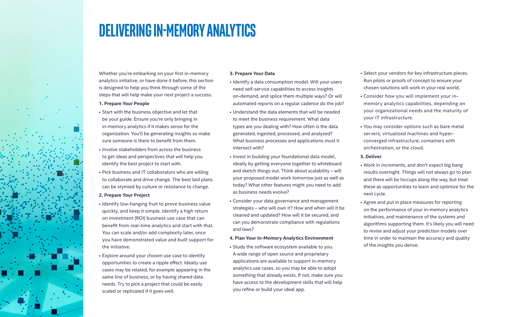<span id="page-7-0"></span>

# **Delivering in-memory analytics**

Whether you're embarking on your first in-memory analytics initiative, or have done it before, this section is designed to help you think through some of the steps that will help make your next project a success.

### **1. Prepare Your People**

- Start with the business objective and let that be your guide. Ensure you're only bringing in in-memory analytics if it makes sense for the organization. You'll be generating insights so make sure someone is there to benefit from them.
- Involve stakeholders from across the business to get ideas and perspectives that will help you identify the best project to start with.
- Pick business and IT collaborators who are willing to collaborate and drive change. The best laid plans can be stymied by culture or resistance to change.

### **2. Prepare Your Project**

- Identify low-hanging fruit to prove business value quickly, and keep it simple. Identify a high return on investment (ROI) business use case that can benefit from real-time analytics and start with that. You can scale and/or add complexity later, once you have demonstrated value and built support for the initiative.
- Explore around your chosen use case to identify opportunities to create a ripple effect. Ideally use cases may be related, for example appearing in the same line of business, or by having shared data needs. Try to pick a project that could be easily scaled or replicated if it goes well.

### **3. Prepare Your Data**

- Identify a data consumption model. Will your users need self-service capabilities to access insights on-demand, and splice them multiple ways? Or will automated reports on a regular cadence do the job?
- Understand the data elements that will be needed to meet the business requirement. What data types are you dealing with? How often is the data generated, ingested, processed, and analyzed? What business processes and applications must it intersect with?
- Invest in building your foundational data model, ideally by getting everyone together to whiteboard and sketch things out. Think about scalability – will your proposed model work tomorrow just as well as today? What other features might you need to add as business needs evolve?
- Consider your data governance and management strategies – who will own it? How and when will it be cleaned and updated? How will it be secured, and can you demonstrate compliance with regulations and laws?

### **4. Plan Your In-Memory Analytics Environment**

• Study the software ecosystem available to you. A wide range of open source and proprietary applications are available to support in-memory analytics use cases, so you may be able to adopt something that already exists. If not, make sure you have access to the development skills that will help you refine or build your ideal app.

- Select your vendors for key infrastructure pieces. Run pilots or proofs of concept to ensure your chosen solutions will work in your real world.
- Consider how you will implement your inmemory analytics capabilities, depending on your organizational needs and the maturity of your IT infrastructure.
- You may consider options such as bare metal servers; virtualized machines and hyperconverged infrastructure; containers with orchestration, or the cloud.

### **5. Deliver**

- Work in increments, and don't expect big bang results overnight. Things will not always go to plan and there will be hiccups along the way, but treat these as opportunities to learn and optimize for the next cycle.
- Agree and put in place measures for reporting on the performance of your in-memory analytics initiatives, and maintenance of the systems and algorithms supporting them. It's likely you will need to revise and adjust your prediction models over time in order to maintain the accuracy and quality of the insights you derive.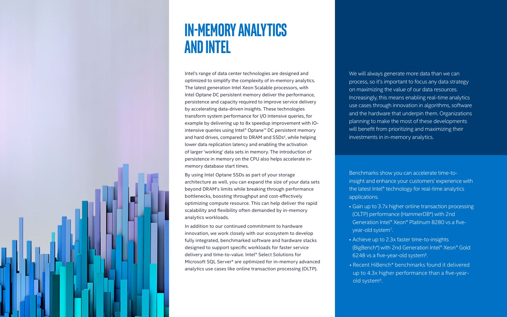<span id="page-8-0"></span>

# **In-memory analytics and Intel**

Intel's range of data center technologies are designed and optimized to simplify the complexity of in-memory analytics. The latest generation Intel Xeon Scalable processors, with Intel Optane DC persistent memory deliver the performance, persistence and capacity required to improve service delivery by accelerating data-driven insights. These technologies transform system performance for I/O intensive queries, for example by delivering up to 8x speedup improvement with IOintensive queries using Intel® Optane™ DC persistent memory and hard drives, compared to DRAM and SSDs 6, while helping lower data replication latency and enabling the activation of larger 'working' data sets in memory. The introduction of persistence in memory on the CPU also helps accelerate inmemory database start times.

By using Intel Optane SSDs as part of your storage architecture as well, you can expand the size of your data sets beyond DRAM's limits while breaking through performance bottlenecks, boosting throughput and cost-effectively optimizing compute resource. This can help deliver the rapid scalability and flexibility often demanded by in-memory analytics workloads.

> • Achieve up to 2.3x faster time-to-insights (BigBench\*) with 2nd Generation Intel® Xeon® Gold 6248 vs a five-year-old system<sup>8</sup>

In addition to our continued commitment to hardware innovation, we work closely with our ecosystem to develop fully integrated, benchmarked software and hardware stacks designed to support specific workloads for faster service delivery and time-to-value. Intel® Select Solutions for Microsoft SQL Server\* are optimized for in-memory advanced analytics use cases like online transaction processing (OLTP).

We will always generate more data than we can process, so it's important to focus any data strategy on maximizing the value of our data resources. Increasingly, this means enabling real-time analytics use cases through innovation in algorithms, software and the hardware that underpin them. Organizations planning to make the most of these developments will benefit from prioritizing and maximizing their investments in in-memory analytics.

Benchmarks show you can accelerate time-toinsight and enhance your customers' experience with the latest Intel® technology for real-time analytics applications.

• Gain up to 3.7x higher online transaction processing (OLTP) performance (HammerDB\*) with 2nd Generation Intel® Xeon® Platinum 8280 vs a fiveyear-old system7.

• Recent HiBench\* benchmarks found it delivered up to 4.3x higher performance than a five-yearold system9.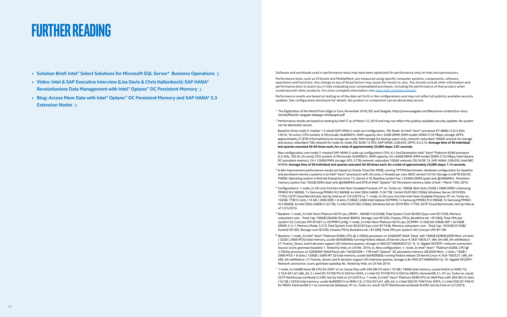<sup>1</sup> The Digitization of the World From Edge to Core, November 2018, IDC and Seagate, https://www.seagate.com/files/www-content/our-story

<sup>2</sup> Performance results are based on testing by Intel IT as of March 12, 2019 and may not reflect the publicly available security updates. No system

- **• Solution Brief: [Intel® Select Solutions for Microsoft SQL Server\\* Business Operations](https://www.intel.com/content/www/us/en/analytics/select-solutions-for-microsoft-sql-server-brief.html)**
- **• Video: [Intel & SAP Executive Interview \(Lisa Davis & Chris Hallenbeck\): SAP HANA\\*](https://www.intel.com/content/www/us/en/big-data/partners/sap/sap-hana-data-management-video.html)  [Revolutionizes Data Management with Intel® Optane™ DC Persistent Memory](https://www.intel.com/content/www/us/en/big-data/partners/sap/sap-hana-data-management-video.html)**
- **• Blog: [Access More Data with Intel® Optane™ DC Persistent Memory and SAP HANA\\* 2.3](https://itpeernetwork.intel.com/access-more-data-intel-optane-dc-persistent-memory-sap-hana-extension-nodes/)  [Extension Nodes](https://itpeernetwork.intel.com/access-more-data-intel-optane-dc-persistent-memory-sap-hana-extension-nodes/)**

Performance tests, such as SYSmark and MobileMark, are measured using specific computer systems, components, software, operations and functions. Any change to any of those factors may cause the results to vary. You should consult other information and performance tests to assist you in fully evaluating your contemplated purchases, including the performance of that product when combined with other products. For more complete information visit [www.intel.com/benchmarks](http://www.intel.com/benchmarks)

# <span id="page-9-0"></span>**further reading**

Software and workloads used in performance tests may have been optimized for performance only on Intel microprocessors.

Performance results are based on testing as of the date set forth in the configurations and may not reflect all publicly available security updates. See configuration disclosure for details. No product or component can be absolutely secure.

- trends/files/idc-seagate-dataage-whitepaper.pdf
- can be absolutely secure.

<sup>3</sup> 6.49x improvement performance results are based on Oracle TimesTen IMDB, running TPTPM benchmark. Hardware configuration for baseline and persistent memory systems is 2x Intel® Xeon® processors with 28 cores, 2 threads per core. BIOS version1.0134. Storage is 2x6TB SSD DC P4608. Operating system is Red Hat Enterprise Linux 7.5, Kernel 4.18. Baseline system has 1,536Gb DDR4 quad rank @2666MHz. Persistent memory system has 192GB DDR4 dual rank @2666MHz and 6TB of Intel® Optane™ DC Persistent memory. Date of test = March 15th, 2019.

 Baseline: three-node (1-master + 2-slave) SAP HANA 2 scale-out configuration. Per Node: 4x Intel® Xeon® processor E7-8880 v3 (2.3 GHz, 150 W, 18 cores ), CPU sockets: 4; Microcode: 0x400001c, RAM capacity: 64 x 32GB DIMM, RAM model: DDR4 2133 Mbps; storage: GPFS, approximately 21.8TB of formatted local storage per node, SAN storage for backup space only; network: redundant 10GbE network for storage and access, redundant 10G network for node-to-node; OS: SUSE 12 SP2, SAP HANA: 2.00.035, GPFS: 4.2.3.10. **Average time of 50 individual test queries executed 30-50 times each, for a total of approximately 25,000 steps: 2.81 seconds.**

 New configuration, one-node (1-master) SAP HANA 2 scale-up configuration: CPU: 4 x 2nd Generation Intel® Xeon® Platinum 8260 processor (2.2 GHz, 165 W, 24 cores), CPU sockets: 4; Microcode: 0x400001c, RAM capacity: 24 x 64GB DIMM, RAM model: DDR4 2133 Mbps; Intel Optane DC persistent memory: 24 x 126GB PMM; storage: XFS, 21TB; network: redundant 10GbE network; OS: SUSE 15, SAP HANA: 2.00.035, Intel BKC: WW06. **Average time of 50 individual test queries executed 30-50 times each, for a total of approximately 25,000 steps: 1.13 seconds.**

⁴ Configurations: 1-node, 2x 26-core 2nd Gen Intel Xeon Scalable Procesor, HT on, Turbo on, 768GB, 0(24 slots /32GB / 2666 DDR)1x Samsung PM963 M.2 960GB, 7 x Samsung PM963 M.2 960GB, 4x Intel SSDs S4600 (1.92 TB), 1xIntel X520 SR2 (10Gb), Windows Server 2019 RS5- 17763, OLTP Cloud Benchmark, test by Intel as of 1/31/2019 vs. 1- node, 2x 26-core 2nd Gen Intel Xeon Scalable Procesor, HT on, Turbo on, 192GB, 1TB(12 slots / 16 GB / 2666 DDR + 8 slots /128GB / 2666 Intel Optane DCPMM), 1x Samsung PM963 M.2 960GB, 7x Samsung PM963 M.2 960GB, 4x Intel SSDs S4600 (1.92 TB), 1x Intel X520 SR2 (10Gb), Windows Server 2019 RS5-17763, OLTP Cloud Benchmark, test by Intel as

⁵ Baseline: 1-node, 2x Intel Xeon Platinum 8276 cpu, DRAM - 384GB (12x32GB); Total System Cost=\$34931[cpu cost=\$17438, Memory subsystem cost – Total Cap: 768GB (384GB /Socket)=\$8993, Storage cost=\$7200, Chassis, PSUs, Bootdrive etc. =\$1300]; Total VMs per system=22, Cost per VM=\$1587 vs. DCPMM Config: 1-node, 2x Intel Xeon Platinum 8276 cpu, DCPMM- 512GB (4x128GB AEP + 6x16GB DRAM, 2-2-1, Memory Mode, 5.3:1); Total System Cost=\$33243 [cpu cost=\$17438, Memory subsystem cost - Total Cap: 1024GB (512GB/ Socket)=\$7305, Storage cost=\$7200, Chassis; PSUs; Bootdrive etc.=\$1300]; Total VMs per system=30, Cost per VM=\$1108.

- 
- of 1/31/2019.
- 
- Network connection. score: geomean speedup 8x. Tested by Intel, on 24 Feb 2019.
- 

⁶ Baseline: 1-node, 2x Intel® Xeon® Platinum 8280L CPU @ 2.70GHz processor on S2600WF (Wolf Pass) with 768GB DDRGB (DDR Mem: 24 slots / 32GB / 2666 MT/s) total memory, ucode 0x0400000a running Fedora release 29 kernel Linux-4.18.8-100.fc27. x86\_64-x86\_64-withfedora-27-Twenty Seven, and 9 decision support I/O intensive queries, storage is HDD (ST1000NX0313) \* 8, 0- Gigabit SFI/SFP+ network connection. Source: score: geomean baseline 1. Tested by Intel, on 24 Feb 2019, vs. New configuration: 1- node, 2x Intel® Xeon® Platinum 8280L CPU @ 2.70GHz processor on S2600WF (Wolf Pass) with 192GB DDR + 1TB Intel® Optane™ DC persistent memory GB (DDR Mem: 2 slots / 16GB / 2666 MT/s + 8 slots / 128GB / 2666 MT /s) total memory, ucode 0x0400000a running Fedora release 29 kernel Linux-4.18.8-100.fc27. x86\_64 x86\_64-withfedora- 27-Twenty\_Seven, and 9 decision support I/O intensive queries, storage is 8x HDD (ST1000NX0313), 10- Gigabit SFI/SFP+

⁷ 1-node, 2x Intel(R) Xeon (R) CPU E5-2697 v2 on Canoe Pass with 256 GB (16 slots / 16 GB / 1866) total memory, ucode 0x42d on RHEL7.6, 3.10.0-957.el7.x86\_64, 2 x Intel DC P3700 PCI-E SSD for DATA, 2 x Intel DC P3700 PCI-E SSD for REDO, HammerDB 3.1, HT on, Turbo on, result: OLTP Warehouse workload=2.24M, test by Intel on 2/1/2019 vs. 1-node, 2x Intel® Xeon® Platinum 8280 CPU on Wolf Pass with 384 GB (12 slots / 32 GB / 2933) total memory, ucode 0x4000013 on RHEL7.6, 3.10.0-957.el7. x86\_64, 2 x Intel SSD DC P4610 for DATA, 2 x Intel SSD DC P4610 for REDO, HammerDB 3.1 on commercial database, HT on, Turbo on, result: OLTP Warehouse workload=8.45M, test by Intel on 2/1/2019.